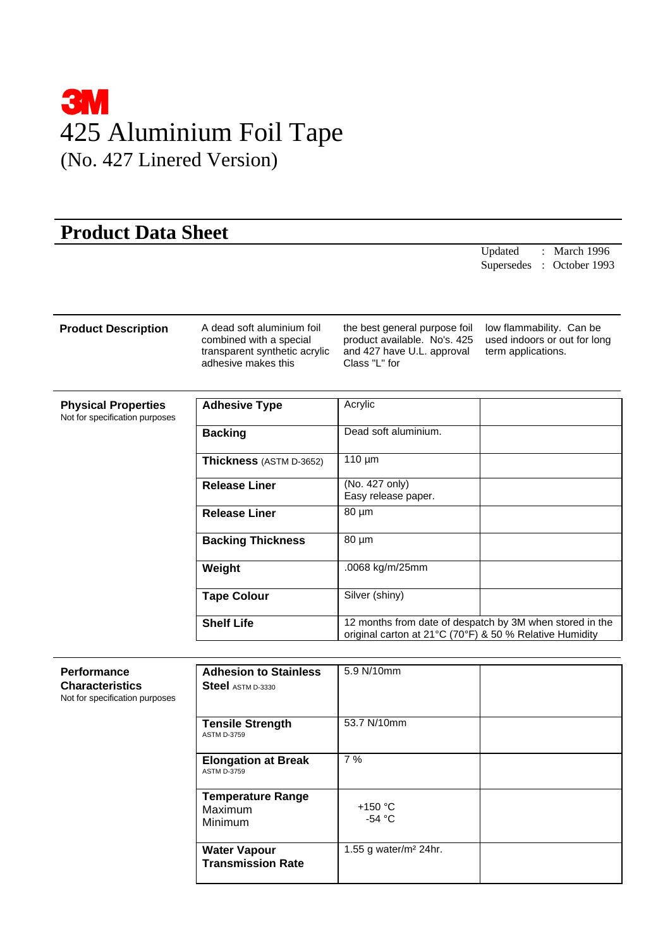

## **Product Data Sheet**

Updated : March 1996 Supersedes : October 1993

## **Product Description** A dead soft aluminium foil

combined with a special transparent synthetic acrylic adhesive makes this

the best general purpose foil product available. No's. 425 and 427 have U.L. approval Class "L" for

low flammability. Can be used indoors or out for long term applications.

| <b>Physical Properties</b><br>Not for specification purposes | <b>Adhesive Type</b>     | Acrylic                                                                                                             |
|--------------------------------------------------------------|--------------------------|---------------------------------------------------------------------------------------------------------------------|
|                                                              | <b>Backing</b>           | Dead soft aluminium.                                                                                                |
|                                                              | Thickness (ASTM D-3652)  | $110 \mu m$                                                                                                         |
|                                                              | <b>Release Liner</b>     | (No. 427 only)<br>Easy release paper.                                                                               |
|                                                              | <b>Release Liner</b>     | 80 µm                                                                                                               |
|                                                              | <b>Backing Thickness</b> | $80 \mu m$                                                                                                          |
|                                                              | Weight                   | .0068 kg/m/25mm                                                                                                     |
|                                                              | <b>Tape Colour</b>       | Silver (shiny)                                                                                                      |
|                                                              | <b>Shelf Life</b>        | 12 months from date of despatch by 3M when stored in the<br>original carton at 21°C (70°F) & 50 % Relative Humidity |

| <b>Performance</b><br><b>Characteristics</b><br>Not for specification purposes | <b>Adhesion to Stainless</b><br><b>Steel</b> ASTM D-3330 | 5.9 N/10mm                    |
|--------------------------------------------------------------------------------|----------------------------------------------------------|-------------------------------|
|                                                                                | <b>Tensile Strength</b><br><b>ASTM D-3759</b>            | 53.7 N/10mm                   |
|                                                                                | <b>Elongation at Break</b><br><b>ASTM D-3759</b>         | 7%                            |
|                                                                                | <b>Temperature Range</b><br>Maximum<br><b>Minimum</b>    | $+150 °C$<br>-54 $^{\circ}$ C |
|                                                                                | <b>Water Vapour</b><br><b>Transmission Rate</b>          | 1.55 g water/ $m2$ 24hr.      |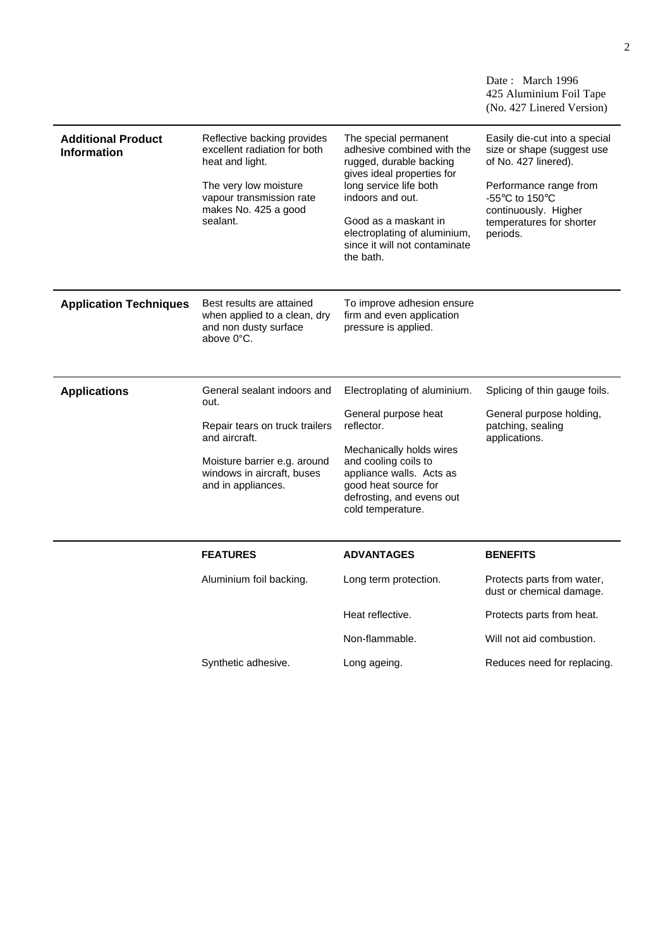| Reflective backing provides<br>The special permanent<br><b>Additional Product</b><br>Easily die-cut into a special<br>excellent radiation for both<br>adhesive combined with the<br>size or shape (suggest use<br><b>Information</b><br>of No. 427 linered).<br>heat and light.<br>rugged, durable backing<br>gives ideal properties for<br>long service life both<br>Performance range from<br>The very low moisture<br>indoors and out.<br>vapour transmission rate<br>-55 $\mathrm{^{\circ}C}$ to 150 $\mathrm{^{\circ}C}$<br>makes No. 425 a good<br>continuously. Higher<br>sealant.<br>Good as a maskant in<br>temperatures for shorter<br>electroplating of aluminium,<br>periods.<br>since it will not contaminate<br>the bath.<br>Best results are attained<br>To improve adhesion ensure<br><b>Application Techniques</b><br>when applied to a clean, dry<br>firm and even application<br>pressure is applied.<br>and non dusty surface<br>above 0°C.<br>General sealant indoors and<br>Splicing of thin gauge foils.<br><b>Applications</b><br>Electroplating of aluminium.<br>out.<br>General purpose heat<br>General purpose holding,<br>reflector.<br>patching, sealing<br>Repair tears on truck trailers<br>and aircraft.<br>applications.<br>Mechanically holds wires<br>and cooling coils to<br>Moisture barrier e.g. around<br>windows in aircraft, buses<br>appliance walls. Acts as<br>good heat source for<br>and in appliances.<br>defrosting, and evens out<br>cold temperature.<br><b>FEATURES</b><br><b>ADVANTAGES</b><br><b>BENEFITS</b><br>Aluminium foil backing.<br>Protects parts from water,<br>Long term protection.<br>dust or chemical damage.<br>Heat reflective.<br>Protects parts from heat.<br>Non-flammable.<br>Will not aid combustion. | (No. 427 Linered Version) | Date: March 1996<br>425 Aluminium Foil Tape |
|---------------------------------------------------------------------------------------------------------------------------------------------------------------------------------------------------------------------------------------------------------------------------------------------------------------------------------------------------------------------------------------------------------------------------------------------------------------------------------------------------------------------------------------------------------------------------------------------------------------------------------------------------------------------------------------------------------------------------------------------------------------------------------------------------------------------------------------------------------------------------------------------------------------------------------------------------------------------------------------------------------------------------------------------------------------------------------------------------------------------------------------------------------------------------------------------------------------------------------------------------------------------------------------------------------------------------------------------------------------------------------------------------------------------------------------------------------------------------------------------------------------------------------------------------------------------------------------------------------------------------------------------------------------------------------------------------------------------------------------------------------------------------------|---------------------------|---------------------------------------------|
|                                                                                                                                                                                                                                                                                                                                                                                                                                                                                                                                                                                                                                                                                                                                                                                                                                                                                                                                                                                                                                                                                                                                                                                                                                                                                                                                                                                                                                                                                                                                                                                                                                                                                                                                                                                 |                           |                                             |
|                                                                                                                                                                                                                                                                                                                                                                                                                                                                                                                                                                                                                                                                                                                                                                                                                                                                                                                                                                                                                                                                                                                                                                                                                                                                                                                                                                                                                                                                                                                                                                                                                                                                                                                                                                                 |                           |                                             |
|                                                                                                                                                                                                                                                                                                                                                                                                                                                                                                                                                                                                                                                                                                                                                                                                                                                                                                                                                                                                                                                                                                                                                                                                                                                                                                                                                                                                                                                                                                                                                                                                                                                                                                                                                                                 |                           |                                             |
|                                                                                                                                                                                                                                                                                                                                                                                                                                                                                                                                                                                                                                                                                                                                                                                                                                                                                                                                                                                                                                                                                                                                                                                                                                                                                                                                                                                                                                                                                                                                                                                                                                                                                                                                                                                 |                           |                                             |
|                                                                                                                                                                                                                                                                                                                                                                                                                                                                                                                                                                                                                                                                                                                                                                                                                                                                                                                                                                                                                                                                                                                                                                                                                                                                                                                                                                                                                                                                                                                                                                                                                                                                                                                                                                                 |                           |                                             |
|                                                                                                                                                                                                                                                                                                                                                                                                                                                                                                                                                                                                                                                                                                                                                                                                                                                                                                                                                                                                                                                                                                                                                                                                                                                                                                                                                                                                                                                                                                                                                                                                                                                                                                                                                                                 |                           |                                             |
|                                                                                                                                                                                                                                                                                                                                                                                                                                                                                                                                                                                                                                                                                                                                                                                                                                                                                                                                                                                                                                                                                                                                                                                                                                                                                                                                                                                                                                                                                                                                                                                                                                                                                                                                                                                 |                           |                                             |
| Synthetic adhesive.<br>Reduces need for replacing.<br>Long ageing.                                                                                                                                                                                                                                                                                                                                                                                                                                                                                                                                                                                                                                                                                                                                                                                                                                                                                                                                                                                                                                                                                                                                                                                                                                                                                                                                                                                                                                                                                                                                                                                                                                                                                                              |                           |                                             |